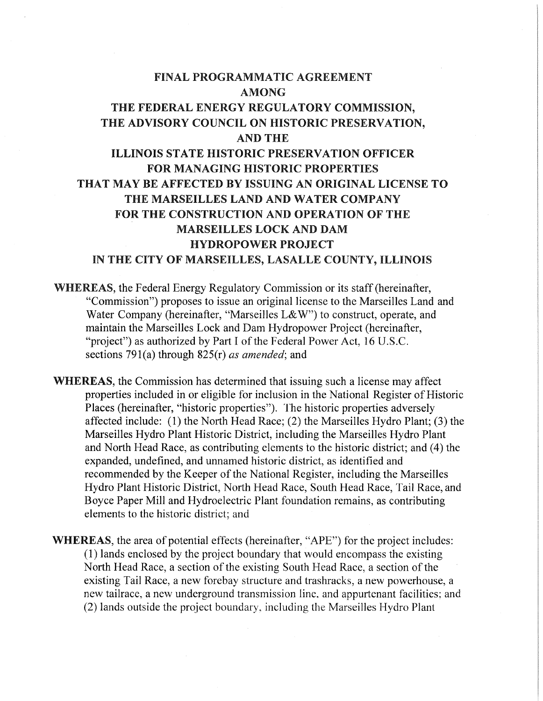# FINAL PROGRAMMATIC AGREEMENT AMONG THE FEDERAL ENERGY REGULATORY COMMISSION, THE ADVISORY COUNCIL ON HISTORIC PRESERVATION, AND THE ILLINOIS STATE HISTORIC PRESERVATION OFFICER FOR MANAGING HISTORIC PROPERTIES THAT MAY BE AFFECTED BY ISSUING AN ORIGINAL LICENSE TO THE MARSEILLES LAND AND WATER COMPANY FOR THE CONSTRUCTION AND OPERATION OF THE MARSEILLES LOCK AND DAM HYDROPOWER PROJECT IN THE CITY OF MARSEILLES, LASALLE COUNTY, ILLINOIS

- WHEREAS, the Federal Energy Regulatory Commission or its staff (hereinafter, "Commission") proposes to issue an original license to the Marseilles Land and Water Company (hereinafter, "Marseilles L&W") to construct, operate, and maintain the Marseilles Lock and Dam Hydropower Project (hereinafter, "project") as authorized by Part I of the Federal Power Act, 16 U.S.C. sections 79l(a) through 825(r) *as amended;* and
- WHEREAS, the Commission has determined that issuing such a license may affect properties included in or eligible for inclusion in the National Register of Historic Places (hereinafter, "historic properties"). The historic properties adversely affected include: (1) the North Head Race; (2) the Marseilles Hydro Plant; (3) the Marseilles Hydro Plant Historic District, including the Marseilles Hydro Plant and North Head Race, as contributing elements to the historic district; and ( 4) the expanded, undefined, and unnamed historic district, as identified and recommended by the Keeper of the National Register, including the Marseilles Hydro Plant Historic District, North Head Race, South Head Race, Tail Race, and Boyce Paper Mill and Hydroelectric Plant foundation remains, as contributing elements to the historic district; and
- **WHEREAS,** the area of potential effects (hereinafter, "APE") for the project includes: (1) lands enclosed by the project boundary that would encompass the existing North Head Race, a section of the existing South Head Race, a section of the existing Tail Race, a new forebay structure and trashracks, a new powerhouse, a new tailrace, a new underground transmission line. and appurtenant facilities: and (2) lands outside the project boundary. including the Marseilles Hydro Plant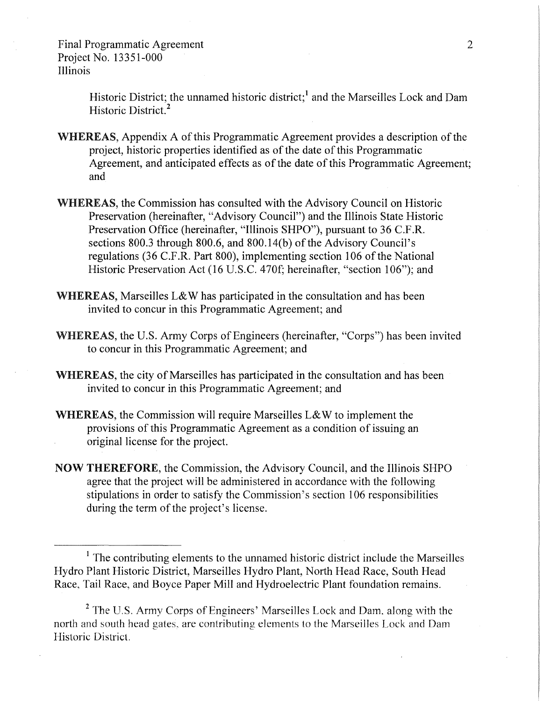> Historic District; the unnamed historic district;<sup>1</sup> and the Marseilles Lock and Dam Historic District. <sup>2</sup>

- WHEREAS, Appendix A of this Programmatic Agreement provides a description of the project, historic properties identified as of the date of this Programmatic Agreement, and anticipated effects as of the date of this Programmatic Agreement; and
- WHEREAS, the Commission has consulted with the Advisory Council on Historic Preservation (hereinafter, "Advisory Council") and the Illinois State Historic Preservation Office (hereinafter, "Illinois SHPO"), pursuant to 36 C.F.R. sections 800.3 through 800.6, and 800.14(b) of the Advisory Council's regulations (36 C.F.R. Part 800), implementing section 106 of the National Historic Preservation Act (16 U.S.C. 470f; hereinafter, "section 106"); and
- WHEREAS, Marseilles L&W has participated in the consultation and has been invited to concur in this Programmatic Agreement; and
- WHEREAS, the U.S. Army Corps of Engineers (hereinafter, "Corps") has been invited to concur in this Programmatic Agreement; and
- **WHEREAS,** the city of Marseilles has participated in the consultation and has been invited to concur in this Programmatic Agreement; and
- **WHEREAS,** the Commission will require Marseilles L& W to implement the provisions of this Programmatic Agreement as a condition of issuing an original license for the project.
- **NOW THEREFORE,** the Commission, the Advisory Council, and the Illinois SHPO agree that the project will be administered **in** accordance with the following stipulations in order to satisfy the Commission's section 106 responsibilities during the term of the project's license.

<sup>&</sup>lt;sup>1</sup> The contributing elements to the unnamed historic district include the Marseilles Hydro Plant Historic District, Marseilles Hydro Plant, North Head Race, South Head Race, Tail Race, and Boyce Paper Mill and Hydroelectric Plant foundation remains.

 $<sup>2</sup>$  The U.S. Army Corps of Engineers' Marseilles Lock and Dam. along with the</sup> north and south head gates. are contributing elements to the Marseilles Lock and Dam Historic District.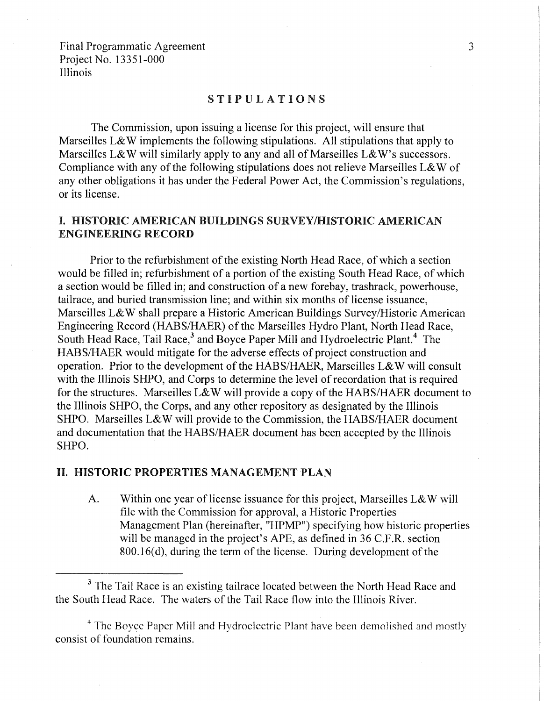# STIPULATIONS

The Commission, upon issuing a license for this project, will ensure that Marseilles L& W implements the following stipulations. All stipulations that apply to Marseilles L&W will similarly apply to any and all of Marseilles L&W's successors. Compliance with any of the following stipulations does not relieve Marseilles L&W of any other obligations it has under the Federal Power Act, the Commission's regulations, or its license.

# I. HISTORIC AMERICAN BUILDINGS SURVEY/HISTORIC AMERICAN ENGINEERING RECORD

Prior to the refurbishment of the existing North Head Race, of which a section would be filled in; refurbishment of a portion of the existing South Head Race, of which a section would be filled in; and construction of a new forebay, trashrack, powerhouse, tailrace, and buried transmission line; and within six months of license issuance, Marseilles L&W shall prepare a Historic American Buildings Survey/Historic American Engineering Record (HABS/HAER) of the Marseilles Hydro Plant, North Head Race, South Head Race, Tail Race,<sup>3</sup> and Boyce Paper Mill and Hydroelectric Plant.<sup>4</sup> The HABS/HAER would mitigate for the adverse effects of project construction and operation. Prior to the development of the HABS/HAER, Marseilles L&W will consult with the Illinois SHPO, and Corps to determine the level of recordation that is required for the structures. Marseilles L&W will provide a copy of the HABS/HAER document to the Illinois SHPO, the Corps, and any other repository as designated by the Illinois SHPO. Marseilles L&W will provide to the Commission, the HABS/HAER document and documentation that the HABS/HAER document has been accepted by the Illinois SHPO.

## II. HISTORIC PROPERTIES MANAGEMENT PLAN

A. Within one year of license issuance for this project, Marseilles L&W will file with the Commission for approval, a Historic Properties Management Plan (hereinafter, "HPMP") specifying how historic properties will be managed in the project's APE, as defined in 36 C.F.R. section  $800.16(d)$ , during the term of the license. During development of the

<sup>3</sup> The Tail Race is an existing tailrace located between the North Head Race and the South Head Race. The waters of the Tail Race flow into the Illinois River.

<sup>4</sup> The Boyce Paper Mill and Hydroelectric Plant have been demolished and mostly consist of foundation remains.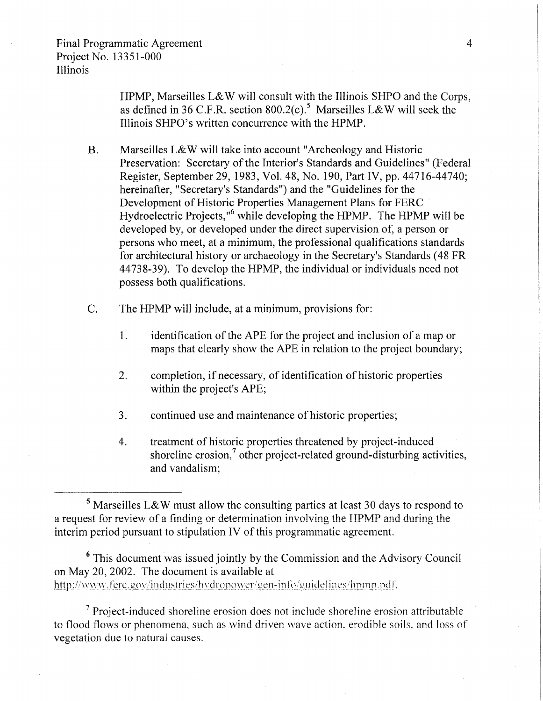HPMP, Marseilles L&W will consult with the Illinois SHPO and the Corps, as defined in 36 C.F.R. section  $800.2(c)$ .<sup>5</sup> Marseilles L&W will seek the Illinois SHPO's written concurrence with the HPMP.

- B. Marseilles L&W will take into account "Archeology and Historic Preservation: Secretary of the Interior's Standards and Guidelines" (Federal Register, September 29, 1983, Vol. 48, No. 190, Part IV, pp. 44716-44740; hereinafter, "Secretary's Standards") and the "Guidelines for the Development of Historic Properties Management Plans for FERC Hydroelectric Projects,"<sup>6</sup> while developing the HPMP. The HPMP will be developed by, or developed under the direct supervision of, a person or persons who meet, at a minimum, the professional qualifications standards for architectural history or archaeology in the Secretary's Standards ( 48 FR 44738-39). To develop the HPMP, the individual or individuals need not possess both qualifications.
- C. The HPMP will include, at a minimum, provisions for:
	- 1. identification of the APE for the project and inclusion of a map or maps that clearly show the APE in relation to the project boundary;
	- 2. completion, if necessary, of identification of historic properties within the project's APE;
	- 3. continued use and maintenance of historic properties;
	- 4. treatment of historic properties threatened by project-induced shoreline erosion, $\frac{7}{1}$  other project-related ground-disturbing activities, and vandalism;

<sup>5</sup> Marseilles L&W must allow the consulting parties at least 30 days to respond to a request for review of a finding or determination involving the HPMP and during the interim period pursuant to stipulation IV of this programmatic agreement.

6 This document was issued jointly by the Commission and the Advisory Council on May 20, 2002. The document is available at http://www.fere.gov/industries/hydropower/gen-info/guidelines/hpmp.pdf.

 $<sup>7</sup>$  Project-induced shoreline erosion does not include shoreline erosion attributable</sup> to flood flows or phenomena. such as wind driven wave action. erodible soils. and loss of vegetation due to natural causes.

4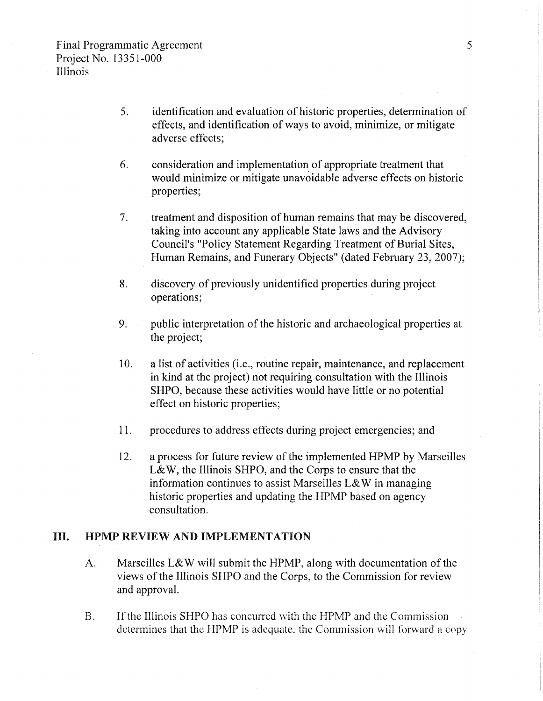- 5. identification and evaluation of historic properties, determination of effects, and identification of ways to avoid, minimize, or mitigate adverse effects;
- 6. consideration and implementation\_ of appropriate treatment that would minimize or mitigate unavoidable adverse effects on historic properties;
- 7. treatment and disposition of human remains that may be discovered, taking into account any applicable State laws and the Advisory Council's "Policy Statement Regarding Treatment of Burial Sites, Human Remains, and Funerary Objects" (dated February 23, 2007);
- 8. discovery of previously unidentified properties during project operations;
- 9. public interpretation of the historic and archaeological properties at the project;
- 10. a list of activities (i.e., routine repair, maintenance, and replacement in kind at the project) not requiring consultation with the Illinois SHPO, because these activities would have little or no potential effect on historic properties;
- 11. procedures to address effects during project emergencies; and
- 12. a process for future review of the implemented HPMP by Marseilles L& W, the Illinois SHPO, and the Corps to ensure that the information continues to assist Marseilles L& W in managing historic properties and updating the HPMP based on agency consultation.

## HI. HPMP REVIEW AND IMPLEMENTATION

- A. Marseilles L&W will submit the HPMP, along with documentation of the views of the Illinois SHPO and the Corps, to the Commission for review and approval.
- B. If the Illinois SHPO has concurred with the HPMP and the Commission determines that the HPMP is adequate, the Commission will forward a copy

5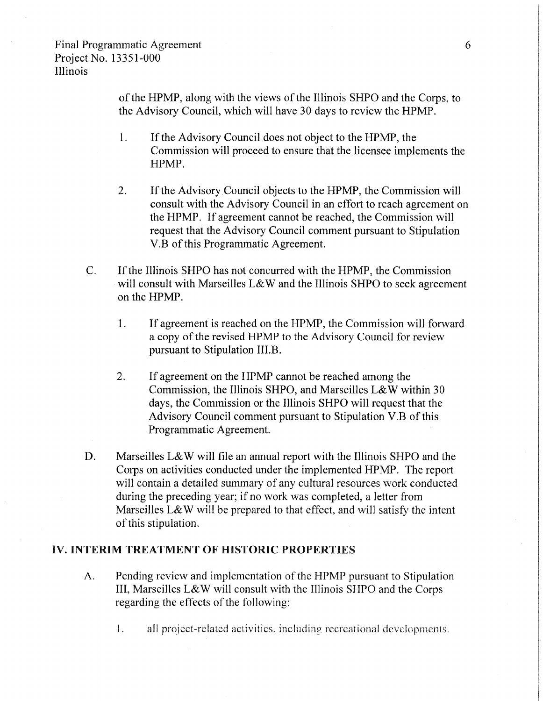of the HPMP, along with the views of the Illinois SHPO and the Corps, to the Advisory Council, which will have 30 days to review the HPMP.

- 1. If the Advisory Council does not object to the HPMP, the Commission will proceed to ensure that the licensee implements the HPMP.
- 2. If the Advisory Council objects to the HPMP, the Commission will consult with the Advisory Council in an effort to reach agreement on the HPMP. If agreement cannot be reached, the Commission will request that the Advisory Council comment pursuant to Stipulation V.B of this Programmatic Agreement.
- C. If the Illinois SHPO has not concurred with the HPMP, the Commission will consult with Marseilles L&W and the Illinois SHPO to seek agreement on the HPMP.
	- 1. If agreement is reached on the HPMP, the Commission will forward a copy of the revised HPMP to the Advisory Council for review pursuant to Stipulation III.B.
	- 2. If agreement on the HPMP cannot be reached among the Commission, the Illinois SHPO, and Marseilles L&W within 30 days, the Commission or the Illinois SHPO will request that the Advisory Council comment pursuant to Stipulation V.B of this Programmatic Agreement.
- D. Marseilles L&W will file an annual report with the Illinois SHPO and the Corps on activities conducted under the implemented HPMP. The report will contain a detailed summary of any cultural resources work conducted during the preceding year; if no work was completed, a letter from Marseilles L&W will be prepared to that effect, and will satisfy the intent of this stipuiation.

# **IV. INTERIM TREATMENT OF HISTORIC PROPERTIES**

- A. Pending review and implementation of the HPMP pursuant to Stipulation III, Marseilles L& W will consult with the Illinois SHPO and the Corps regarding the effects of the following:
	- 1. all project-related activities. including recreational developments.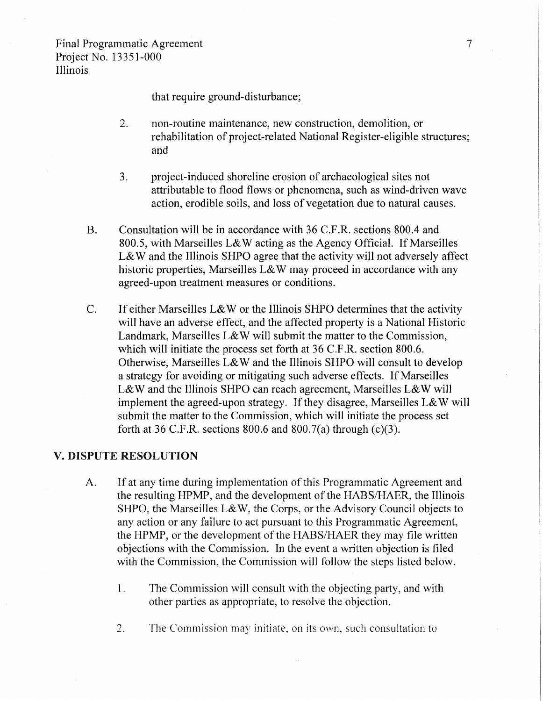that require ground-disturbance;

- 2. non-routine maintenance, new construction, demolition, or rehabilitation of project-related National Register-eligible structures; and
- 3. project-induced shoreline erosion of archaeological sites not attributable to flood flows or phenomena, such as wind-driven wave action, erodible soils, and loss of vegetation due to natural causes.
- B. Consultation will be in accordance with 36 C.F.R. sections 800.4 and 800.5, with Marseilles L& W acting as the Agency Official. If Marseilles L&W and the Illinois SHPO agree that the activity will not adversely affect historic properties, Marseilles L&W may proceed in accordance with any agreed-upon treatment measures or conditions.
- C. If either Marseilles L& W or the Illinois SHPO determines that the activity will have an adverse effect, and the affected property is a National Historic Landmark, Marseilles L& W will submit the matter to the Commission, which will initiate the process set forth at 36 C.F.R. section 800.6. Otherwise, Marseilles L& W and the Illinois SHPO will consult to develop a strategy for avoiding or mitigating such adverse effects. If Marseilles L&W and the Illinois SHPO can reach agreement, Marseilles L&W will implement the agreed-upon strategy. If they disagree, Marseilles  $L&W$  will submit the matter to the Commission, which will initiate the process set forth at 36 C.F.R. sections 800.6 and 800.7(a) through  $(c)(3)$ .

## V. DISPUTE RESOLUTION

- A. If at any time during implementation of this Programmatic Agreement and the resulting HPMP, and the development of the HABS/HAER, the Illinois SHPO, the Marseilles L&W, the Corps, or the Advisory Council objects to any action or any faiiure to act pursuant to this Programmatic Agreement, the HPMP, or the development of the HABS/HAER they may file written objections with the Commission. In the event a written objection is filed with the Commission, the Commission will follow the steps listed below.
	- I. The Commission will consult with the objecting party, and with other parties as appropriate, to resolve the objection.
	- 2. The Commission may initiate, on its own, such consultation to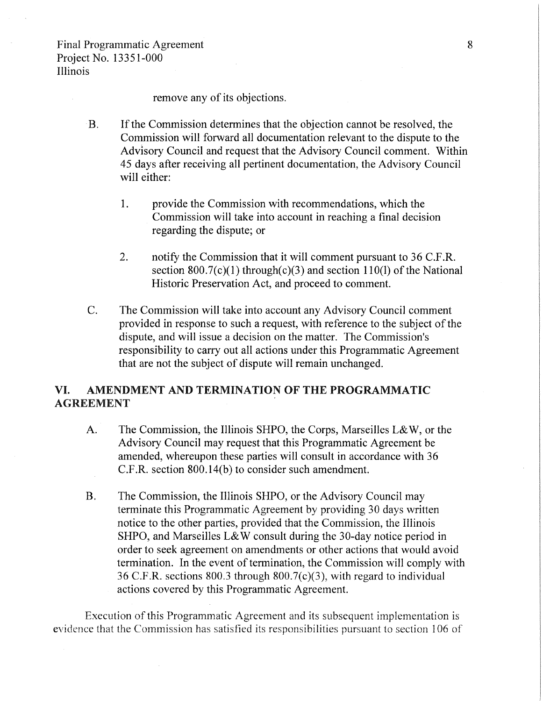remove any of its objections.

- B. If the Commission determines that the objection cannot be resolved, the Commission will forward all documentation relevant to the dispute to the Advisory Council and request that the Advisory Council comment. Within 45 days after receiving all pertinent documentation, the Advisory Council will either:
	- 1. provide the Commission with recommendations, which the Commission will take into account in reaching a final decision regarding the dispute; or
	- 2. notify the Commission that it will comment pursuant to 36 C.F.R. section  $800.7(c)(1)$  through(c)(3) and section 110(1) of the National Historic Preservation Act, and proceed to comment.
- C. The Commission will take into account any Advisory Council comment provided in response to such a request, with reference to the subject of the dispute, and will issue a decision on the matter. The Commission's responsibility to carry out all actions under this Programmatic Agreement that are not the subject of dispute will remain unchanged.

# VI. AMENDMENT AND TERMINATION OF THE PROGRAMMATIC AGREEMENT

- A. The Commission, the Illinois SHPO, the Corps, Marseilles L& W, or the Advisory Council may request that this Programmatic Agreement be amended, whereupon these parties will consult in accordance with 36 C.F.R. section 800.14(b) to consider such amendment.
- B. The Commission, the Illinois SHPO, or the Advisory Council may terminate this Programmatic Agreement by providing 30 days written notice to the other parties, provided that the Commission, the Illinois SHPO, and Marseilles L& W consult during the 30-day notice period in order to seek agreement on amendments or other actions that would avoid termination. In the event of termination, the Commission will comply with 36 C.F.R. sections 800.3 through 800.7(c)(3), with regard to individual actions covered by this Programmatic Agreement.

Execution of this Programmatic Agreement and its subsequent implementation is evidence that the Commission has satisfied its responsibilities pursuant to section 106 of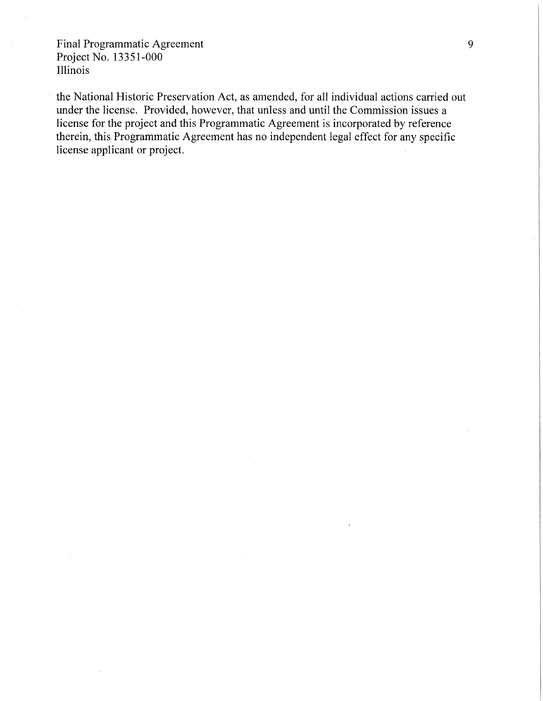the National Historic Preservation Act, as amended, for all individual actions carried out under the license. Provided, however, that unless and until the Commission issues a license for the project and this Programmatic Agreement is incorporated by reference therein, this Programmatic Agreement has no independent legal effect for any specific license applicant or project.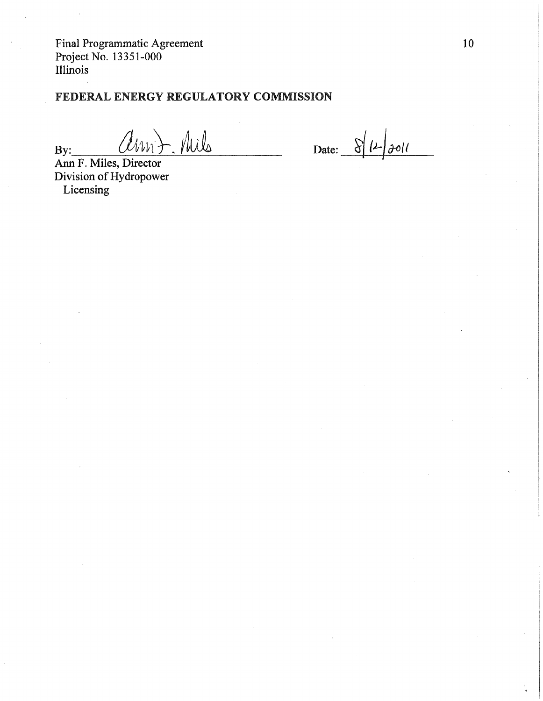# FEDERAL ENERGY REGULATORY COMMISSION

 $-$  Mils Am

Date:  $8/12/3011$ 

Ann F. Miles, Director Division of Hydropower Licensing

 $By:$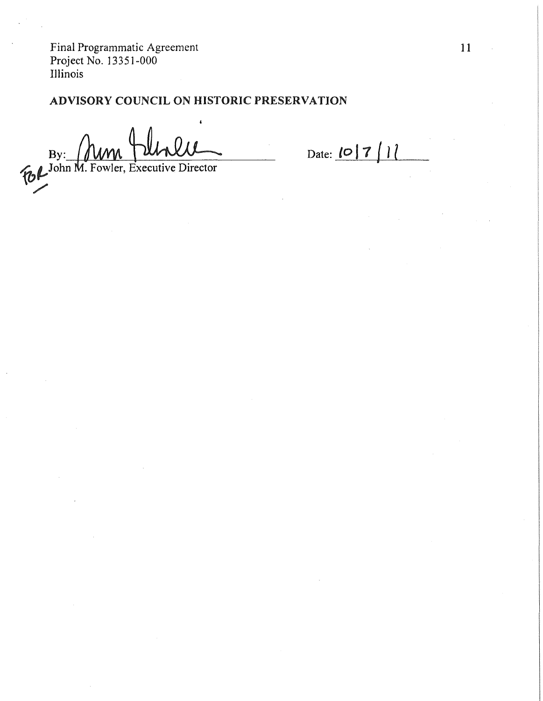# ADVISORY COUNCIL ON HISTORIC PRESERVATION

By: MM June Director

Date: 10 7 | 1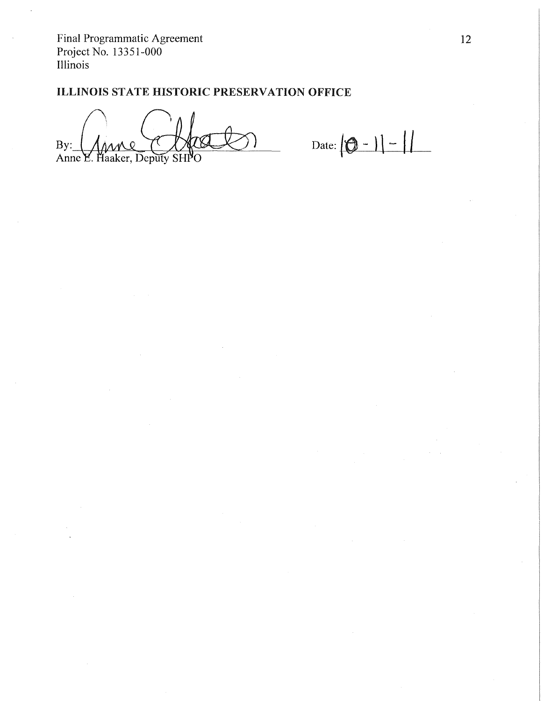# ILLINOIS STATE HISTORIC PRESERVATION OFFICE

By: Anne E. Haaker, Deputy SH PΩ

Date:  $|0 - 1| - 1$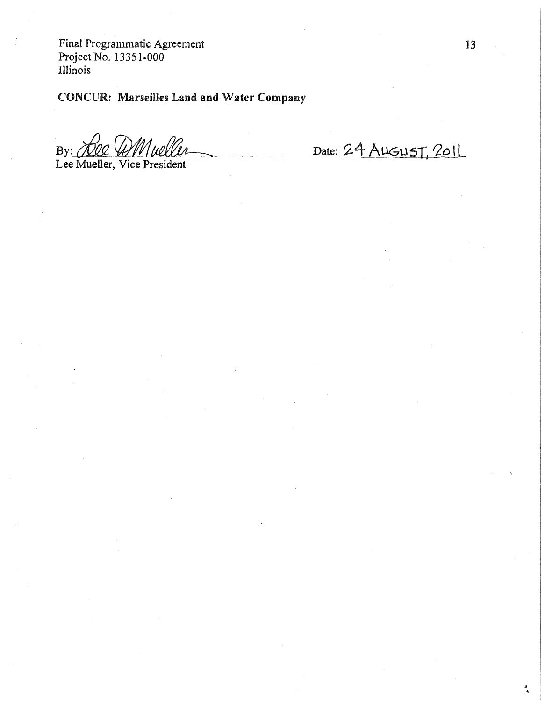# CONCUR: Marseilles Land and Water Company

By: Ree WMweller

Date: 24 AUGUST, 2011

Lee Mueller, Vice President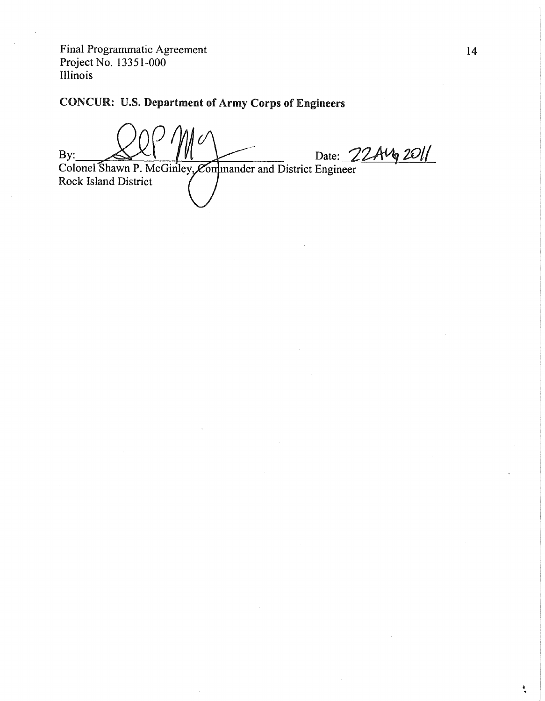# **CONCUR: U.S. Department of Army Corps of Engineers**

Date: 22Aug 2011 By: Colonel Shawn P. McGinley, Commander and District Engineer Rock Island District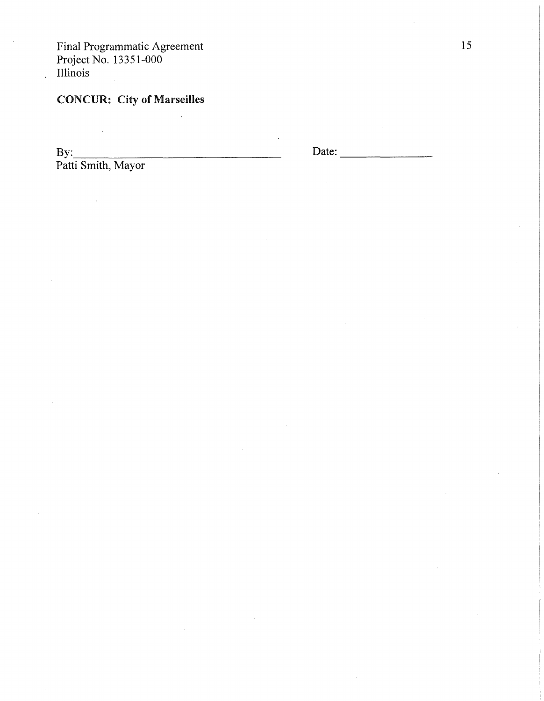# CONCUR: City **of** Marseilles

 $\mathbf{By:}$ Patti Smith, Mayor

 $\hat{\mathcal{A}}$ 

 $\mathcal{L}_{\text{max}}$ 

Date: -------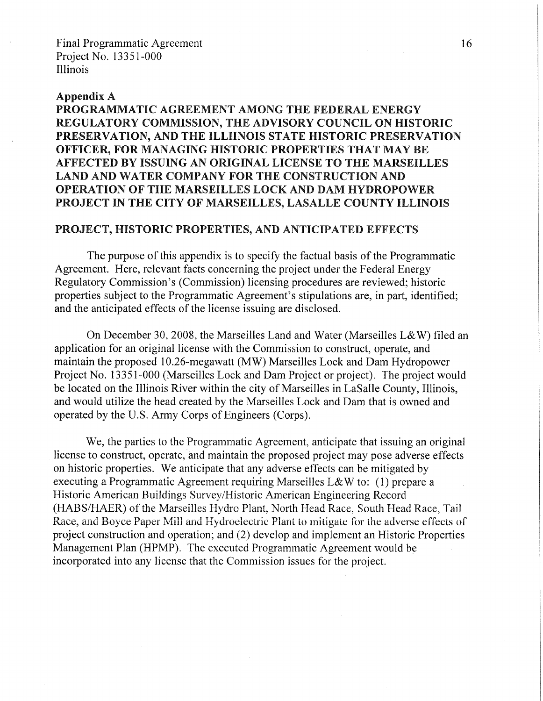#### Appendix A

# PROGRAMMATIC AGREEMENT AMONG THE FEDERAL ENERGY REGULATORY COMMISSION, THE ADVISORY COUNCIL ON HISTORIC PRESERVATION, AND THE ILLIINOIS STATE HISTORIC PRESERVATION OFFICER, FOR MANAGING HISTORIC PROPERTIES THAT MAY BE AFFECTED BY ISSUING AN ORIGINAL LICENSE TO THE MARSEILLES LAND AND WATER COMPANY FOR THE CONSTRUCTION AND OPERATION OF THE MARSEILLES LOCK AND DAM HYDROPOWER PROJECT IN THE CITY OF MARSEILLES, LASALLE COUNTY ILLINOIS

# PROJECT, HISTORIC PROPERTIES, AND ANTICIPATED EFFECTS

The purpose of this appendix is to specify the factual basis of the Programmatic Agreement. Here, relevant facts concerning the project under the Federal Energy Regulatory Commission's (Commission) licensing procedures are reviewed; historic properties subject to the Programmatic Agreement's stipulations are, in part, identified; and the anticipated effects of the license issuing are disclosed.

On December 30, 2008, the Marseilles Land and Water (Marseilles L&W) filed an application for an original license with the Commission to construct, operate, and maintain the proposed 10.26-megawatt (MW) Marseilles Lock and Dam Hydropower Project No. 13351-000 (Marseilles Lock and Dam Project or project). The project would be located on the Illinois River within the city of Marseilles in LaSalle County, Illinois, and would utilize the head created by the Marseilles Lock and Dam that is owned and operated by the U.S. Army Corps of Engineers (Corps).

We, the parties to the Programmatic Agreement, anticipate that issuing an original license to construct, operate, and maintain the proposed project may pose adverse effects on historic properties. We anticipate that any adverse effects can be mitigated by executing a Programmatic Agreement requiring Marseilles L& W to: (1) prepare a Historic American Buildings Survey/Historic American Engineering Record (HABS/HAER) of the Marseilles Hydro Plant, North Head Race, South Head Race, Tail Race, and Boyce Paper Mill and Hydroelectric Plant to mitigate for the adverse effects of project construction and operation; and (2) develop and implement an Historic Properties Management Plan (HPMP). The executed Programmatic Agreement would be incorporated into any license that the Commission issues for the project.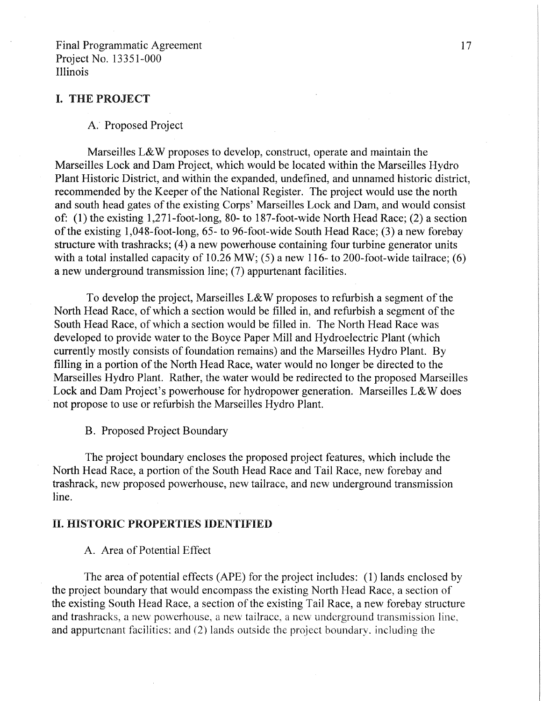#### I. THE PROJECT

#### A. Proposed Project

Marseilles L&W proposes to develop, construct, operate and maintain the Marseilles Lock and Dam Project, which would be located within the Marseilles Hydro Plant Historic District, and within the expanded, undefined, and unnamed historic district, recommended by the Keeper of the National Register. The project would use the north and south head gates of the existing Corps' Marseilles Lock and Dam, and would consist of: (1) the existing 1,271-foot-long, 80- to 187-foot-wide North Head Race; (2) a section of the existing 1,048-foot-long, 65- to 96-foot-wide South Head Race; (3) a new forebay structure with trashracks; (4) a new powerhouse containing four turbine generator units with a total installed capacity of  $10.26$  MW; (5) a new 116- to 200-foot-wide tailrace; (6) a new underground transmission line; (7) appurtenant facilities.

To develop the project, Marseilles L&W proposes to refurbish a segment of the North Head Race, of which a section would be filled in, and refurbish a segment of the South Head Race, of which a section would be filled in. The North Head Race was developed to provide water to the Boyce Paper Mill and Hydroelectric Plant (which currently mostly consists of foundation remains) and the Marseilles Hydro Plant. By filling in a portion of the North Head Race, water would no longer be directed to the Marseilles Hydro Plant. Rather, the water would be redirected to the proposed Marseilles Lock and Dam Project's powerhouse for hydropower generation. Marseilles L&W does not propose to use or refurbish the Marseilles Hydro Plant.

B. Proposed Project Boundary

The project boundary encloses the proposed project features, which include the North Head Race, a portion of the South Head Race and Tail Race, new forebay and trashrack, new proposed powerhouse, new tailrace, and new underground transmission line.

## **II. HISTORIC PROPERTIES IDENTIFIED**

#### A. Area of Potential Effect

The area of potential effects (APE) for the project includes: (1) lands enclosed by the project boundary that would encompass the existing North Head Race, a section of the existing South Head Race, a section of the existing Tail Race, a new forebay structure and trashracks, a new powerhouse, a new tailrace, a new underground transmission line, and appurtenant facilities; and (2) lands outside the project boundary, including the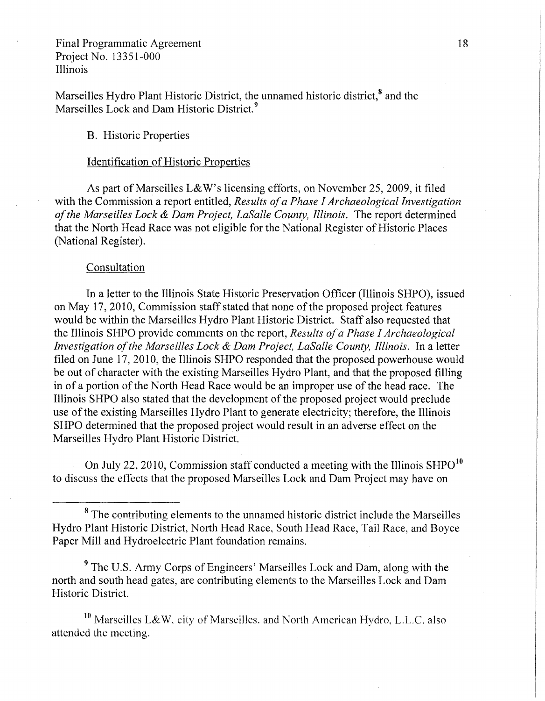Marseilles Hydro Plant Historic District, the unnamed historic district, $^8$  and the Marseilles Lock and Dam Historic District.<sup>9</sup>

## B. Historic Properties

### Identification of Historic Properties

As part of Marseilles L&W's licensing efforts, on November 25, 2009, it filed with the Commission a report entitled, *Results of a Phase I Archaeological Investigation of the Marseilles Lock & Dam Project, LaSalle County, Illinois.* The report determined that the North Head Race was not eligible for the National Register of Historic Places (National Register).

#### Consultation

In a letter to the Illinois State Historic Preservation Officer (Illinois SHPO), issued on May 17, 2010, Commission staff stated that none of the proposed project features would be within the Marseilles Hydro Plant Historic District. Staff also requested that the Illinois SHPO provide comments on the report, *Results of a Phase I Archaeological Investigation of the Marseilles Lock & Dam Project, LaSalle County, Illinois.* In a letter filed on June 17, 2010, the Illinois SHPO responded that the proposed powerhouse would be out of character with the existing Marseilles Hydro Plant, and that the proposed filling in of a portion of the North Head Race would be an improper use of the head race. The Illinois SHPO also stated that the development of the proposed project would preclude use of the existing Marseilles Hydro Plant to generate electricity; therefore, the Illinois SHPO determined that the proposed project would result in an adverse effect on the Marseilles Hydro Plant Historic District.

On July 22, 2010, Commission staff conducted a meeting with the Illinois  $SHPO<sup>10</sup>$ to discuss the effects that the proposed Marseilles Lock and Dam Project may have on

<sup>9</sup>The U.S. Army Corps of Engineers' Marseilles Lock and Dam, along with the north and south head gates, are contributing elements to the Marseilles Lock and Dam Historic District.

<sup>10</sup> Marseilles L&W. city of Marseilles. and North American Hydro, L.L.C. also attended the meeting.

<sup>&</sup>lt;sup>8</sup> The contributing elements to the unnamed historic district include the Marseilles Hydro Plant Historic District, North Head Race, South Head Race, Tail Race, and Boyce Paper Mill and Hydroelectric Plant foundation remains.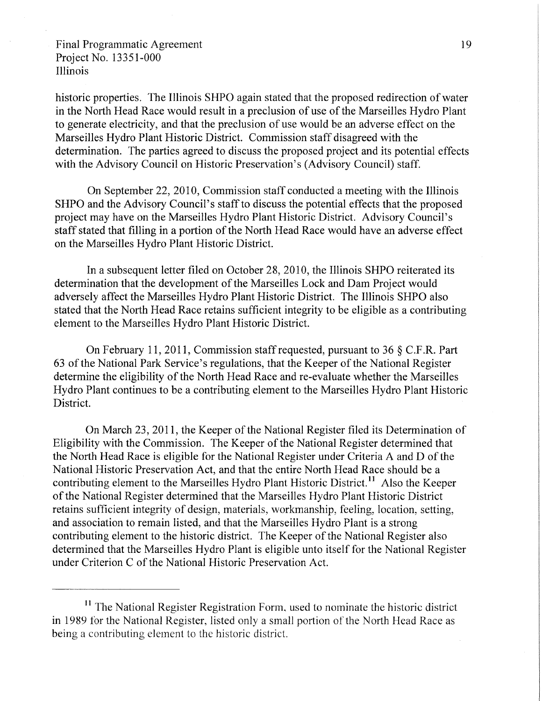historic properties. The Illinois SHPO again stated that the proposed redirection of water in the North Head Race would result in a preclusion of use of the Marseilles Hydro Plant to generate electricity, and that the preclusion of use would be an adverse effect on the Marseilles Hydro Plant Historic District. Commission staff disagreed with the determination. The parties agreed to discuss the proposed project and its potential effects with the Advisory Council on Historic Preservation's (Advisory Council) staff.

On September 22, 2010, Commission staff conducted a meeting with the Illinois SHPO and the Advisory Council's staff to discuss the potential effects that the proposed project may have on the Marseilles Hydro Plant Historic District. Advisory Council's staff stated that filling in a portion of the North Head Race would have an adverse effect on the Marseilles Hydro Plant Historic District.

In a subsequent letter filed on October 28, 2010, the Illinois SHPO reiterated its determination that the development of the Marseilles Lock and Dam Project would adversely affect the Marseilles Hydro Plant Historic District. The Illinois SHPO also stated that the North Head Race retains sufficient integrity to be eligible as a contributing element to the Marseilles Hydro Plant Historic District.

On February 11, 2011, Commission staff requested, pursuant to 36 § C.F.R. Part 63 of the National Park Service's regulations, that the Keeper of the National Register determine the eligibility of the North Head Race and re-evaluate whether the Marseilles Hydro Plant continues to be a contributing element to the Marseilles Hydro Plant Historic District.

On March 23, 2011, the Keeper of the National Register filed its Determination of Eligibility with the Commission. The Keeper of the National Register determined that the North Head Race is eligible for the National Register under Criteria A and D of the National Historic Preservation Act, and that the entire North Head Race should be a contributing element to the Marseilles Hydro Plant Historic District.<sup>11</sup> Also the Keeper of the National Register determined that the Marseilles Hydro Plant Historic District retains sufficient integrity of design, materials, workmanship, feeling, location, setting, and association to remain listed, and that the Marseilles Hydro Plant is a strong contributing element to the historic district. The Keeper of the National Register also determined that the Marseilles Hydro Plant is eligible unto itself for the National Register under Criterion C of the National Historic Preservation Act.

<sup>&</sup>lt;sup>11</sup> The National Register Registration Form, used to nominate the historic district in 1989 for the National Register, listed only a small portion of the North Head Race as being a contributing element to the historic district.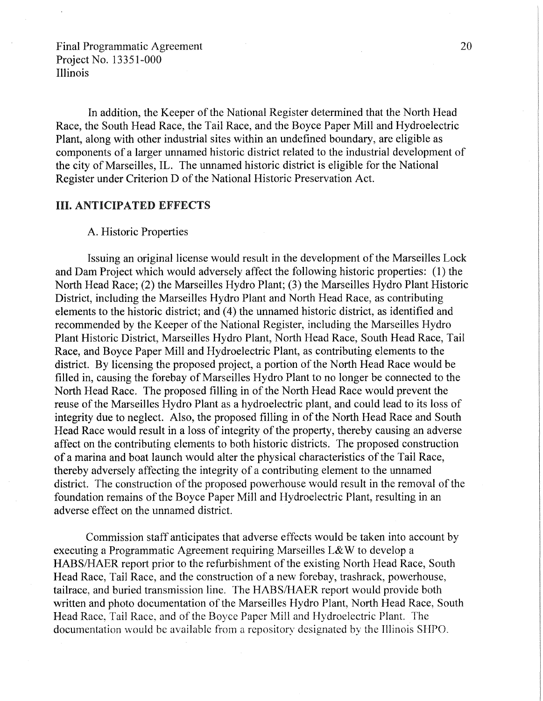In addition, the Keeper of the National Register determined that the North Head Race, the South Head Race, the Tail Race, and the Boyce Paper Mill and Hydroelectric Plant, along with other industrial sites within an undefined boundary, are eligible as components of a larger unnamed historic district related to the industrial development of the city of Marseilles, IL. The unnamed historic district is eligible for the National Register under Criterion D of the National Historic Preservation Act.

### III. ANTICIPATED EFFECTS

## A. Historic Properties

Issuing an original license would result in the development of the Marseilles Lock and Dam Project which would adversely affect the following historic properties: (1) the North Head Race; (2) the Marseilles Hydro Plant; (3) the Marseilles Hydro Plant Historic District, including the Marseilles Hydro Plant and North Head Race, as contributing elements to the historic district; and (4) the unnamed historic district, as identified and recommended by the Keeper of the National Register, including the Marseilles Hydro Plant Historic District, Marseilles Hydro Plant, North Head Race, South Head Race, Tail Race, and Boyce Paper Mill and Hydroelectric Plant, as contributing elements to the district. By licensing the proposed project, a portion of the North Head Race would be filled in, causing the forebay of Marseilles Hydro Plant to no longer be connected to the North Head Race. The proposed filling in of the North Head Race would prevent the reuse of the Marseilles Hydro Plant as a hydroelectric plant, and could lead to its loss of integrity due to neglect. Also, the proposed filling in of the North Head Race and South Head Race would result in a loss of integrity of the property, thereby causing an adverse affect on the contributing elements to both historic districts. The proposed construction of a marina and boat launch would alter the physical characteristics of the Tail Race, thereby adversely affecting the integrity of a contributing element to the unnamed district. The construction of the proposed powerhouse would result in the removal of the foundation remains of the Boyce Paper Mill and Hydroelectric Plant, resulting in an adverse effect on the unnamed district.

Commission staff anticipates that adverse effects would be taken into account by executing a Programmatic Agreement requiring Marseilles L& W to develop a HABS/HAER report prior to the refurbishment of the existing North Head Race, South Head Race, Tail Race, and the construction of a new forebay, trashrack, powerhouse, tailrace, and buried transmission line. The HABS/HAER report would provide both written and photo documentation of the Marseilles Hydro Plant, North Head Race, South Head Race, Tail Race, and of the Boyce Paper Mill and Hydroelectric Plant. The documentation would be available from a repository designated by the Illinois SHPO.